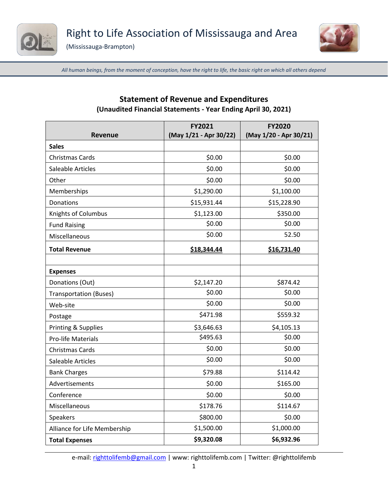





*All human beings, from the moment of conception, have the right to life, the basic right on which all others depend*

| Revenue                       | FY2021<br>(May 1/21 - Apr 30/22) | <b>FY2020</b><br>(May 1/20 - Apr 30/21) |
|-------------------------------|----------------------------------|-----------------------------------------|
| <b>Sales</b>                  |                                  |                                         |
| <b>Christmas Cards</b>        | \$0.00                           | \$0.00                                  |
| Saleable Articles             | \$0.00                           | \$0.00                                  |
| Other                         | \$0.00                           | \$0.00                                  |
| Memberships                   | \$1,290.00                       | \$1,100.00                              |
| Donations                     | \$15,931.44                      | \$15,228.90                             |
| Knights of Columbus           | \$1,123.00                       | \$350.00                                |
| <b>Fund Raising</b>           | \$0.00                           | \$0.00                                  |
| Miscellaneous                 | \$0.00                           | 52.50                                   |
| <b>Total Revenue</b>          | \$18,344.44                      | \$16,731.40                             |
|                               |                                  |                                         |
| <b>Expenses</b>               |                                  |                                         |
| Donations (Out)               | \$2,147.20                       | \$874.42                                |
| <b>Transportation (Buses)</b> | \$0.00                           | \$0.00                                  |
| Web-site                      | \$0.00                           | \$0.00                                  |
| Postage                       | \$471.98                         | \$559.32                                |
| Printing & Supplies           | \$3,646.63                       | \$4,105.13                              |
| <b>Pro-life Materials</b>     | \$495.63                         | \$0.00                                  |
| <b>Christmas Cards</b>        | \$0.00                           | \$0.00                                  |
| Saleable Articles             | \$0.00                           | \$0.00                                  |
| <b>Bank Charges</b>           | \$79.88                          | \$114.42                                |
| Advertisements                | \$0.00                           | \$165.00                                |
| Conference                    | \$0.00                           | \$0.00                                  |
| Miscellaneous                 | \$178.76                         | \$114.67                                |
| Speakers                      | \$800.00                         | \$0.00                                  |
| Alliance for Life Membership  | \$1,500.00                       | \$1,000.00                              |
| <b>Total Expenses</b>         | \$9,320.08                       | \$6,932.96                              |

## **Statement of Revenue and Expenditures (Unaudited Financial Statements - Year Ending April 30, 2021)**

e-mail: [righttolifemb@gmail.com](about:blank) | www: righttolifemb.com | Twitter: @righttolifemb